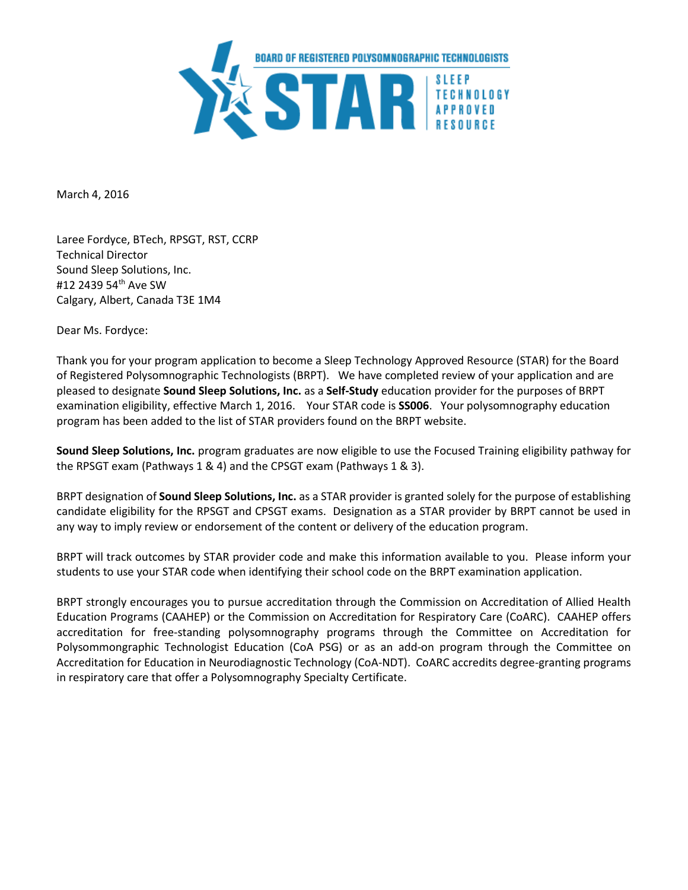

March 4, 2016

Laree Fordyce, BTech, RPSGT, RST, CCRP Technical Director Sound Sleep Solutions, Inc. #12 2439 54th Ave SW Calgary, Albert, Canada T3E 1M4

Dear Ms. Fordyce:

Thank you for your program application to become a Sleep Technology Approved Resource (STAR) for the Board of Registered Polysomnographic Technologists (BRPT). We have completed review of your application and are pleased to designate **Sound Sleep Solutions, Inc.** as a **Self-Study** education provider for the purposes of BRPT examination eligibility, effective March 1, 2016. Your STAR code is **SS006**. Your polysomnography education program has been added to the list of STAR providers found on the BRPT website.

**Sound Sleep Solutions, Inc.** program graduates are now eligible to use the Focused Training eligibility pathway for the RPSGT exam (Pathways 1 & 4) and the CPSGT exam (Pathways 1 & 3).

BRPT designation of **Sound Sleep Solutions, Inc.** as a STAR provider is granted solely for the purpose of establishing candidate eligibility for the RPSGT and CPSGT exams. Designation as a STAR provider by BRPT cannot be used in any way to imply review or endorsement of the content or delivery of the education program.

BRPT will track outcomes by STAR provider code and make this information available to you. Please inform your students to use your STAR code when identifying their school code on the BRPT examination application.

BRPT strongly encourages you to pursue accreditation through the Commission on Accreditation of Allied Health Education Programs (CAAHEP) or the Commission on Accreditation for Respiratory Care (CoARC). CAAHEP offers accreditation for free-standing polysomnography programs through the Committee on Accreditation for Polysommongraphic Technologist Education (CoA PSG) or as an add-on program through the Committee on Accreditation for Education in Neurodiagnostic Technology (CoA-NDT). CoARC accredits degree-granting programs in respiratory care that offer a Polysomnography Specialty Certificate.